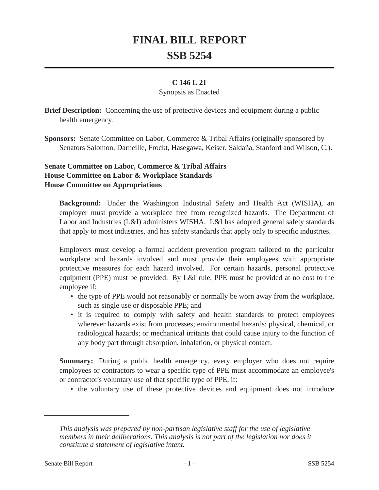# **FINAL BILL REPORT SSB 5254**

### **C 146 L 21**

#### Synopsis as Enacted

**Brief Description:** Concerning the use of protective devices and equipment during a public health emergency.

**Sponsors:** Senate Committee on Labor, Commerce & Tribal Affairs (originally sponsored by Senators Salomon, Darneille, Frockt, Hasegawa, Keiser, Saldaña, Stanford and Wilson, C.).

# **Senate Committee on Labor, Commerce & Tribal Affairs House Committee on Labor & Workplace Standards House Committee on Appropriations**

**Background:** Under the Washington Industrial Safety and Health Act (WISHA), an employer must provide a workplace free from recognized hazards. The Department of Labor and Industries (L&I) administers WISHA. L&I has adopted general safety standards that apply to most industries, and has safety standards that apply only to specific industries.

Employers must develop a formal accident prevention program tailored to the particular workplace and hazards involved and must provide their employees with appropriate protective measures for each hazard involved. For certain hazards, personal protective equipment (PPE) must be provided. By L&I rule, PPE must be provided at no cost to the employee if:

- the type of PPE would not reasonably or normally be worn away from the workplace, such as single use or disposable PPE; and
- it is required to comply with safety and health standards to protect employees wherever hazards exist from processes; environmental hazards; physical, chemical, or radiological hazards; or mechanical irritants that could cause injury to the function of any body part through absorption, inhalation, or physical contact.

**Summary:** During a public health emergency, every employer who does not require employees or contractors to wear a specific type of PPE must accommodate an employee's or contractor's voluntary use of that specific type of PPE, if:

• the voluntary use of these protective devices and equipment does not introduce

*This analysis was prepared by non-partisan legislative staff for the use of legislative members in their deliberations. This analysis is not part of the legislation nor does it constitute a statement of legislative intent.*